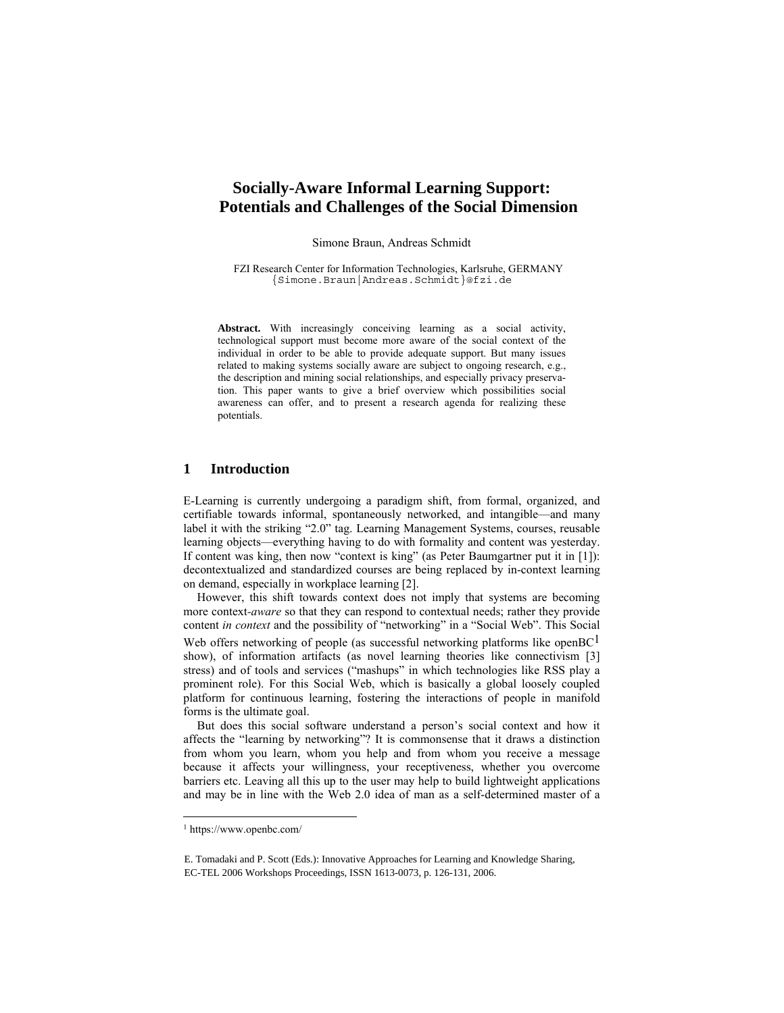# **Socially-Aware Informal Learning Support: Potentials and Challenges of the Social Dimension**

Simone Braun, Andreas Schmidt

FZI Research Center for Information Technologies, Karlsruhe, GERMANY {Simone.Braun|Andreas.Schmidt}@fzi.de

**Abstract.** With increasingly conceiving learning as a social activity, technological support must become more aware of the social context of the individual in order to be able to provide adequate support. But many issues related to making systems socially aware are subject to ongoing research, e.g., the description and mining social relationships, and especially privacy preservation. This paper wants to give a brief overview which possibilities social awareness can offer, and to present a research agenda for realizing these potentials.

### **1 Introduction**

E-Learning is currently undergoing a paradigm shift, from formal, organized, and certifiable towards informal, spontaneously networked, and intangible—and many label it with the striking "2.0" tag. Learning Management Systems, courses, reusable learning objects—everything having to do with formality and content was yesterday. If content was king, then now "context is king" (as Peter Baumgartner put it in [1]): decontextualized and standardized courses are being replaced by in-context learning on demand, especially in workplace learning [2].

However, this shift towards context does not imply that systems are becoming more context*-aware* so that they can respond to contextual needs; rather they provide content *in context* and the possibility of "networking" in a "Social Web". This Social Web offers networking of people (as successful networking platforms like open $BC<sup>1</sup>$ show), of information artifacts (as novel learning theories like connectivism [3] stress) and of tools and services ("mashups" in which technologies like RSS play a prominent role). For this Social Web, which is basically a global loosely coupled platform for continuous learning, fostering the interactions of people in manifold forms is the ultimate goal.

But does this social software understand a person's social context and how it affects the "learning by networking"? It is commonsense that it draws a distinction from whom you learn, whom you help and from whom you receive a message because it affects your willingness, your receptiveness, whether you overcome barriers etc. Leaving all this up to the user may help to build lightweight applications and may be in line with the Web 2.0 idea of man as a self-determined master of a

 $\overline{a}$ 

<sup>1</sup> https://www.openbc.com/

E. Tomadaki and P. Scott (Eds.): Innovative Approaches for Learning and Knowledge Sharing, EC-TEL 2006 Workshops Proceedings, ISSN 1613-0073, p. 126-131, 2006.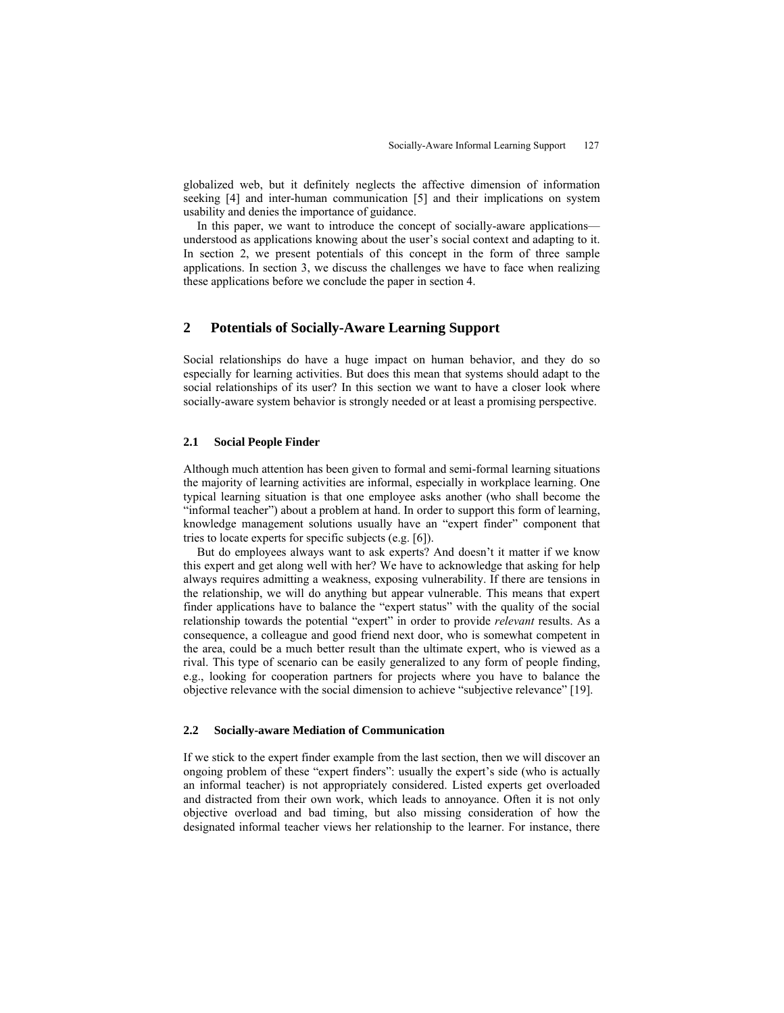globalized web, but it definitely neglects the affective dimension of information seeking [4] and inter-human communication [5] and their implications on system usability and denies the importance of guidance.

In this paper, we want to introduce the concept of socially-aware applications understood as applications knowing about the user's social context and adapting to it. In section 2, we present potentials of this concept in the form of three sample applications. In section 3, we discuss the challenges we have to face when realizing these applications before we conclude the paper in section 4.

## **2 Potentials of Socially-Aware Learning Support**

Social relationships do have a huge impact on human behavior, and they do so especially for learning activities. But does this mean that systems should adapt to the social relationships of its user? In this section we want to have a closer look where socially-aware system behavior is strongly needed or at least a promising perspective.

#### **2.1 Social People Finder**

Although much attention has been given to formal and semi-formal learning situations the majority of learning activities are informal, especially in workplace learning. One typical learning situation is that one employee asks another (who shall become the "informal teacher") about a problem at hand. In order to support this form of learning, knowledge management solutions usually have an "expert finder" component that tries to locate experts for specific subjects (e.g. [6]).

But do employees always want to ask experts? And doesn't it matter if we know this expert and get along well with her? We have to acknowledge that asking for help always requires admitting a weakness, exposing vulnerability. If there are tensions in the relationship, we will do anything but appear vulnerable. This means that expert finder applications have to balance the "expert status" with the quality of the social relationship towards the potential "expert" in order to provide *relevant* results. As a consequence, a colleague and good friend next door, who is somewhat competent in the area, could be a much better result than the ultimate expert, who is viewed as a rival. This type of scenario can be easily generalized to any form of people finding, e.g., looking for cooperation partners for projects where you have to balance the objective relevance with the social dimension to achieve "subjective relevance" [19].

#### **2.2 Socially-aware Mediation of Communication**

If we stick to the expert finder example from the last section, then we will discover an ongoing problem of these "expert finders": usually the expert's side (who is actually an informal teacher) is not appropriately considered. Listed experts get overloaded and distracted from their own work, which leads to annoyance. Often it is not only objective overload and bad timing, but also missing consideration of how the designated informal teacher views her relationship to the learner. For instance, there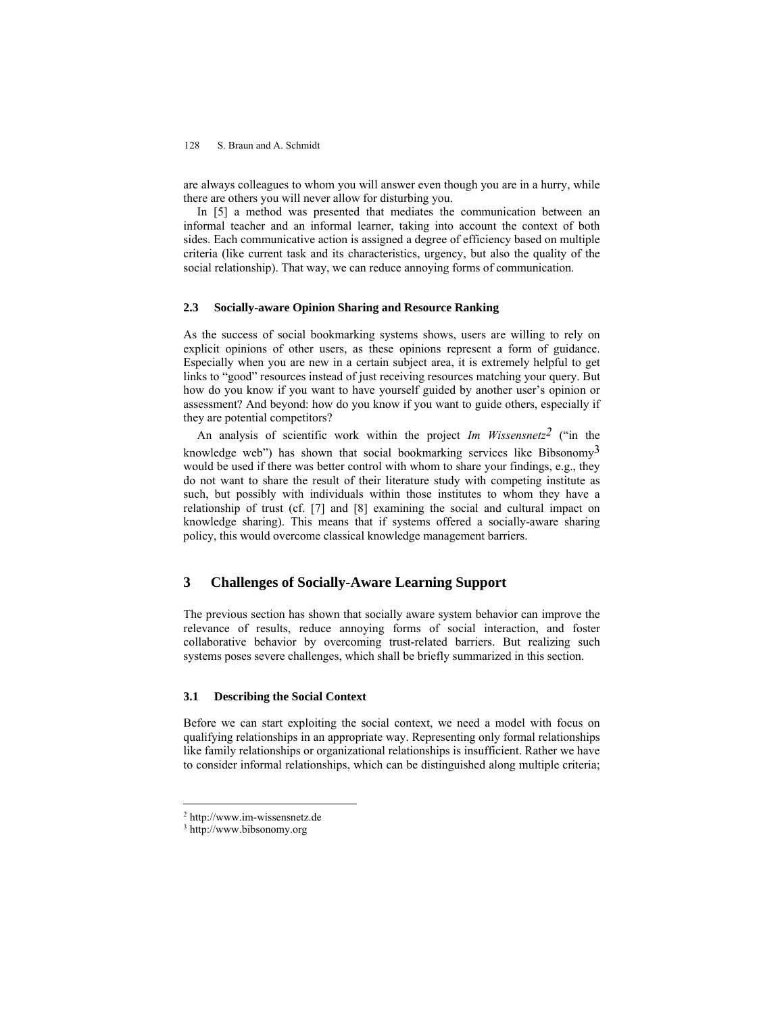128 S. Braun and A. Schmidt

are always colleagues to whom you will answer even though you are in a hurry, while there are others you will never allow for disturbing you.

In [5] a method was presented that mediates the communication between an informal teacher and an informal learner, taking into account the context of both sides. Each communicative action is assigned a degree of efficiency based on multiple criteria (like current task and its characteristics, urgency, but also the quality of the social relationship). That way, we can reduce annoying forms of communication.

#### **2.3 Socially-aware Opinion Sharing and Resource Ranking**

As the success of social bookmarking systems shows, users are willing to rely on explicit opinions of other users, as these opinions represent a form of guidance. Especially when you are new in a certain subject area, it is extremely helpful to get links to "good" resources instead of just receiving resources matching your query. But how do you know if you want to have yourself guided by another user's opinion or assessment? And beyond: how do you know if you want to guide others, especially if they are potential competitors?

An analysis of scientific work within the project *Im Wissensnetz2* ("in the knowledge web") has shown that social bookmarking services like Bibsonomy<sup>3</sup> would be used if there was better control with whom to share your findings, e.g., they do not want to share the result of their literature study with competing institute as such, but possibly with individuals within those institutes to whom they have a relationship of trust (cf. [7] and [8] examining the social and cultural impact on knowledge sharing). This means that if systems offered a socially-aware sharing policy, this would overcome classical knowledge management barriers.

# **3 Challenges of Socially-Aware Learning Support**

The previous section has shown that socially aware system behavior can improve the relevance of results, reduce annoying forms of social interaction, and foster collaborative behavior by overcoming trust-related barriers. But realizing such systems poses severe challenges, which shall be briefly summarized in this section.

## **3.1 Describing the Social Context**

Before we can start exploiting the social context, we need a model with focus on qualifying relationships in an appropriate way. Representing only formal relationships like family relationships or organizational relationships is insufficient. Rather we have to consider informal relationships, which can be distinguished along multiple criteria;

 $\overline{a}$ 

<sup>2</sup> http://www.im-wissensnetz.de

<sup>3</sup> http://www.bibsonomy.org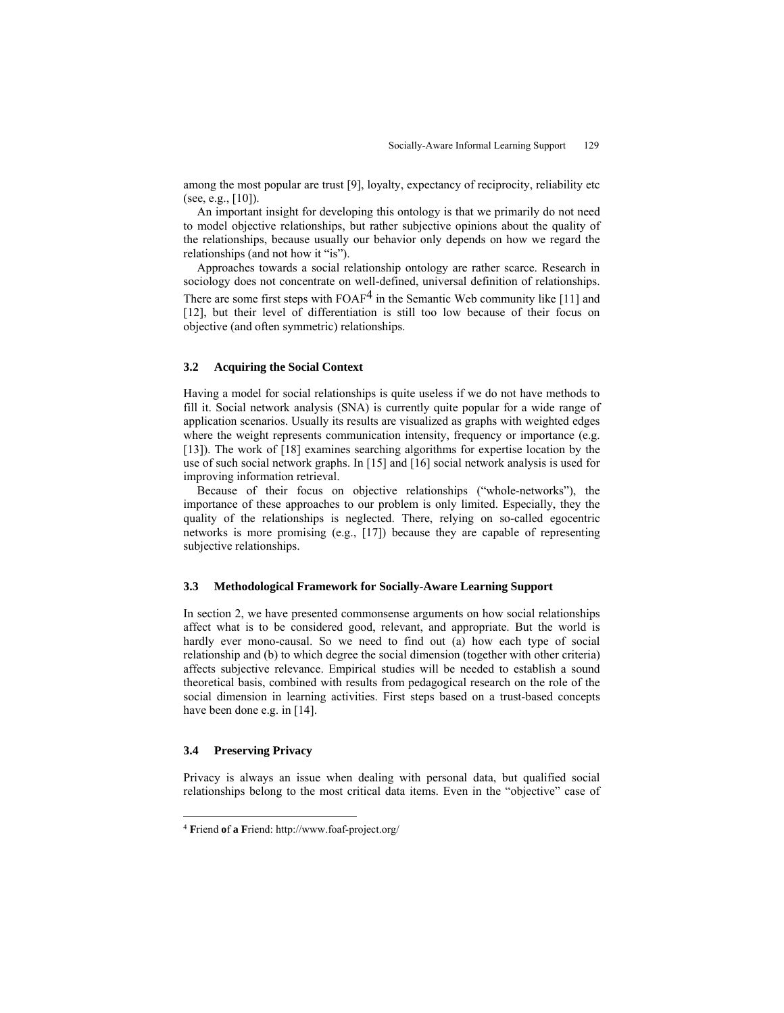among the most popular are trust [9], loyalty, expectancy of reciprocity, reliability etc (see, e.g.,  $[10]$ ).

An important insight for developing this ontology is that we primarily do not need to model objective relationships, but rather subjective opinions about the quality of the relationships, because usually our behavior only depends on how we regard the relationships (and not how it "is").

Approaches towards a social relationship ontology are rather scarce. Research in sociology does not concentrate on well-defined, universal definition of relationships. There are some first steps with  $FOAF<sup>4</sup>$  in the Semantic Web community like [11] and [12], but their level of differentiation is still too low because of their focus on objective (and often symmetric) relationships.

#### **3.2 Acquiring the Social Context**

Having a model for social relationships is quite useless if we do not have methods to fill it. Social network analysis (SNA) is currently quite popular for a wide range of application scenarios. Usually its results are visualized as graphs with weighted edges where the weight represents communication intensity, frequency or importance (e.g. [13]). The work of [18] examines searching algorithms for expertise location by the use of such social network graphs. In [15] and [16] social network analysis is used for improving information retrieval.

Because of their focus on objective relationships ("whole-networks"), the importance of these approaches to our problem is only limited. Especially, they the quality of the relationships is neglected. There, relying on so-called egocentric networks is more promising (e.g., [17]) because they are capable of representing subjective relationships.

#### **3.3 Methodological Framework for Socially-Aware Learning Support**

In section 2, we have presented commonsense arguments on how social relationships affect what is to be considered good, relevant, and appropriate. But the world is hardly ever mono-causal. So we need to find out (a) how each type of social relationship and (b) to which degree the social dimension (together with other criteria) affects subjective relevance. Empirical studies will be needed to establish a sound theoretical basis, combined with results from pedagogical research on the role of the social dimension in learning activities. First steps based on a trust-based concepts have been done e.g. in [14].

## **3.4 Preserving Privacy**

 $\overline{a}$ 

Privacy is always an issue when dealing with personal data, but qualified social relationships belong to the most critical data items. Even in the "objective" case of

<sup>4</sup> **F**riend **o**f **a F**riend: http://www.foaf-project.org/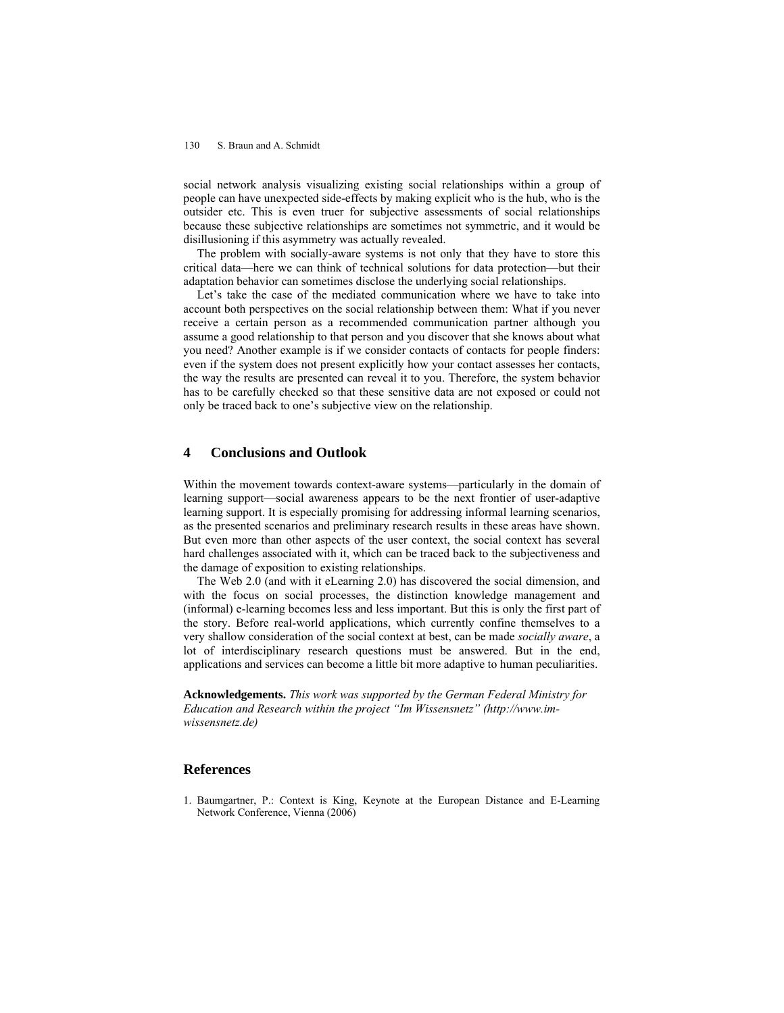#### 130 S. Braun and A. Schmidt

social network analysis visualizing existing social relationships within a group of people can have unexpected side-effects by making explicit who is the hub, who is the outsider etc. This is even truer for subjective assessments of social relationships because these subjective relationships are sometimes not symmetric, and it would be disillusioning if this asymmetry was actually revealed.

The problem with socially-aware systems is not only that they have to store this critical data—here we can think of technical solutions for data protection—but their adaptation behavior can sometimes disclose the underlying social relationships.

Let's take the case of the mediated communication where we have to take into account both perspectives on the social relationship between them: What if you never receive a certain person as a recommended communication partner although you assume a good relationship to that person and you discover that she knows about what you need? Another example is if we consider contacts of contacts for people finders: even if the system does not present explicitly how your contact assesses her contacts, the way the results are presented can reveal it to you. Therefore, the system behavior has to be carefully checked so that these sensitive data are not exposed or could not only be traced back to one's subjective view on the relationship.

## **4 Conclusions and Outlook**

Within the movement towards context-aware systems—particularly in the domain of learning support—social awareness appears to be the next frontier of user-adaptive learning support. It is especially promising for addressing informal learning scenarios, as the presented scenarios and preliminary research results in these areas have shown. But even more than other aspects of the user context, the social context has several hard challenges associated with it, which can be traced back to the subjectiveness and the damage of exposition to existing relationships.

The Web 2.0 (and with it eLearning 2.0) has discovered the social dimension, and with the focus on social processes, the distinction knowledge management and (informal) e-learning becomes less and less important. But this is only the first part of the story. Before real-world applications, which currently confine themselves to a very shallow consideration of the social context at best, can be made *socially aware*, a lot of interdisciplinary research questions must be answered. But in the end, applications and services can become a little bit more adaptive to human peculiarities.

**Acknowledgements.** *This work was supported by the German Federal Ministry for Education and Research within the project "Im Wissensnetz" (http://www.imwissensnetz.de)* 

### **References**

1. Baumgartner, P.: Context is King, Keynote at the European Distance and E-Learning Network Conference, Vienna (2006)